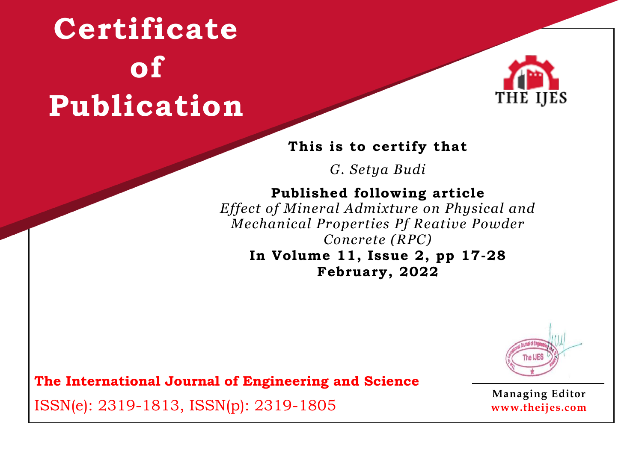

#### **This is to certify that**

*G. Setya Budi*

### **Published following article**

*Effect of Mineral Admixture on Physical and Mechanical Properties Pf Reative Powder Concrete (RPC)* **In Volume 11, Issue 2, pp 17-28**

**February, 2022**



**The International Journal of Engineering and Science**

ISSN(e): 2319-1813, ISSN(p): 2319-1805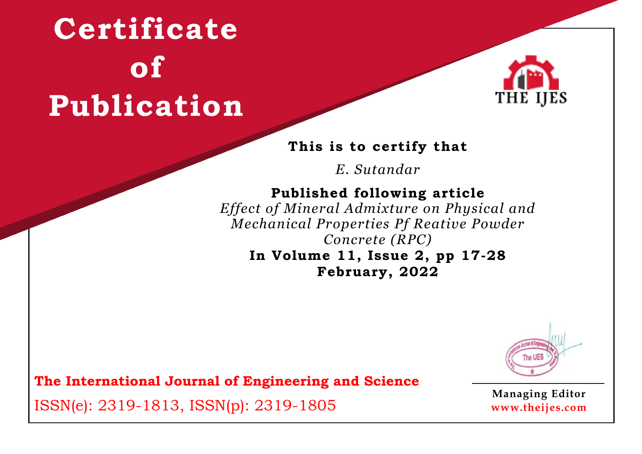

#### **This is to certify that**

*E. Sutandar*

### **Published following article**

*Effect of Mineral Admixture on Physical and Mechanical Properties Pf Reative Powder Concrete (RPC)* **In Volume 11, Issue 2, pp 17-28**

**February, 2022**



**The International Journal of Engineering and Science**

ISSN(e): 2319-1813, ISSN(p): 2319-1805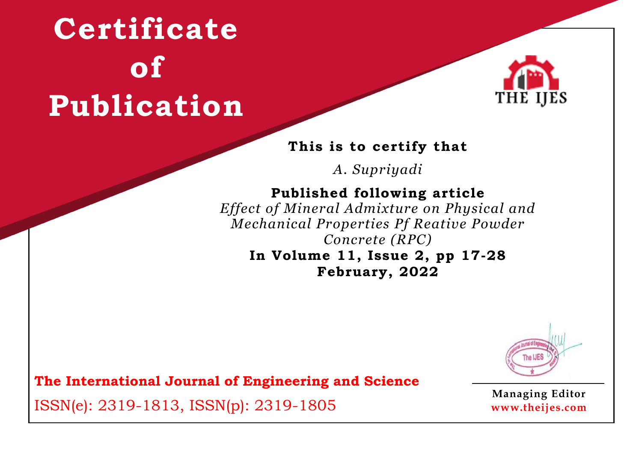

#### **This is to certify that**

*A. Supriyadi*

### **Published following article**

*Effect of Mineral Admixture on Physical and Mechanical Properties Pf Reative Powder Concrete (RPC)* **In Volume 11, Issue 2, pp 17-28**

**February, 2022**



**The International Journal of Engineering and Science**

ISSN(e): 2319-1813, ISSN(p): 2319-1805